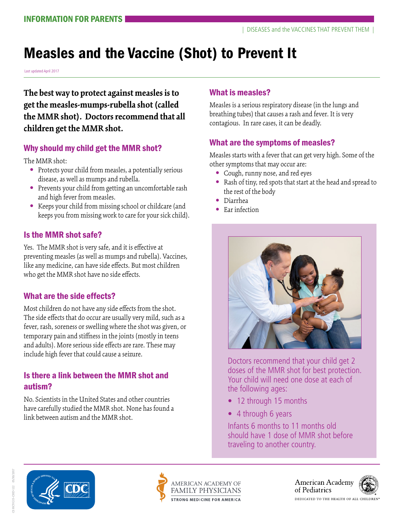# Measles and the Vaccine (Shot) to Prevent It

Last updated April 2017

**The best way to protect against measles is to get the measles-mumps-rubella shot (called the MMR shot). Doctors recommend that all children get the MMR shot.** 

#### Why should my child get the MMR shot?

The MMR shot:

- **•** Protects your child from measles, a potentially serious disease, as well as mumps and rubella.
- **•** Prevents your child from getting an uncomfortable rash and high fever from measles.
- **•** Keeps your child from missing school or childcare (and keeps you from missing work to care for your sick child).

#### Is the MMR shot safe?

Yes. The MMR shot is very safe, and it is effective at preventing measles (as well as mumps and rubella). Vaccines, like any medicine, can have side effects. But most children who get the MMR shot have no side effects.

#### What are the side effects?

Most children do not have any side effects from the shot. The side effects that do occur are usually very mild, such as a fever, rash, soreness or swelling where the shot was given, or temporary pain and stiffness in the joints (mostly in teens and adults). More serious side effects are rare. These may include high fever that could cause a seizure.

#### Is there a link between the MMR shot and autism?

No. Scientists in the United States and other countries have carefully studied the MMR shot. None has found a link between autism and the MMR shot.

#### What is measles?

Measles is a serious respiratory disease (in the lungs and breathing tubes) that causes a rash and fever. It is very contagious. In rare cases, it can be deadly.

## What are the symptoms of measles?

Measles starts with a fever that can get very high. Some of the other symptoms that may occur are:

- **•** Cough, runny nose, and red eyes
- **•** Rash of tiny, red spots that start at the head and spread to the rest of the body
- **•** Diarrhea
- **•** Ear infection



Doctors recommend that your child get 2 doses of the MMR shot for best protection. Your child will need one dose at each of the following ages:

- 12 through 15 months
- 4 through 6 years

Infants 6 months to 11 months old should have 1 dose of MMR shot before traveling to another country.





American Academy of Pediatrics



SHCVG15-CHD-122 05/30/2017 CS HCVG15-CHD-122 05/30/2017